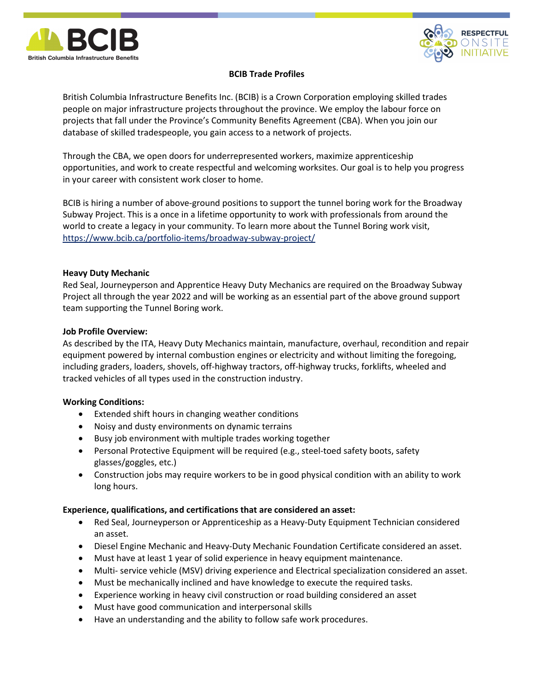



# BCIB Trade Profiles

British Columbia Infrastructure Benefits Inc. (BCIB) is a Crown Corporation employing skilled trades people on major infrastructure projects throughout the province. We employ the labour force on projects that fall under the Province's Community Benefits Agreement (CBA). When you join our database of skilled tradespeople, you gain access to a network of projects.

Through the CBA, we open doors for underrepresented workers, maximize apprenticeship opportunities, and work to create respectful and welcoming worksites. Our goal is to help you progress in your career with consistent work closer to home.

BCIB is hiring a number of above-ground positions to support the tunnel boring work for the Broadway Subway Project. This is a once in a lifetime opportunity to work with professionals from around the world to create a legacy in your community. To learn more about the Tunnel Boring work visit, https://www.bcib.ca/portfolio-items/broadway-subway-project/

## Heavy Duty Mechanic

Red Seal, Journeyperson and Apprentice Heavy Duty Mechanics are required on the Broadway Subway Project all through the year 2022 and will be working as an essential part of the above ground support team supporting the Tunnel Boring work.

### Job Profile Overview:

As described by the ITA, Heavy Duty Mechanics maintain, manufacture, overhaul, recondition and repair equipment powered by internal combustion engines or electricity and without limiting the foregoing, including graders, loaders, shovels, off-highway tractors, off-highway trucks, forklifts, wheeled and tracked vehicles of all types used in the construction industry.

## Working Conditions:

- Extended shift hours in changing weather conditions
- Noisy and dusty environments on dynamic terrains
- Busy job environment with multiple trades working together
- Personal Protective Equipment will be required (e.g., steel-toed safety boots, safety glasses/goggles, etc.)
- Construction jobs may require workers to be in good physical condition with an ability to work long hours.

## Experience, qualifications, and certifications that are considered an asset:

- Red Seal, Journeyperson or Apprenticeship as a Heavy-Duty Equipment Technician considered an asset.
- Diesel Engine Mechanic and Heavy-Duty Mechanic Foundation Certificate considered an asset.
- Must have at least 1 year of solid experience in heavy equipment maintenance.
- Multi- service vehicle (MSV) driving experience and Electrical specialization considered an asset.
- Must be mechanically inclined and have knowledge to execute the required tasks.
- Experience working in heavy civil construction or road building considered an asset
- Must have good communication and interpersonal skills
- Have an understanding and the ability to follow safe work procedures.